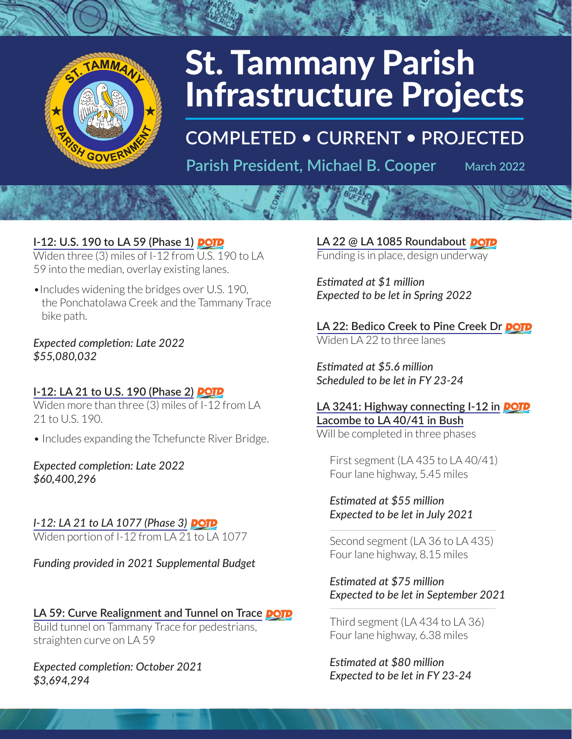

# **St. Tammany Parish Infrastructure Projects**

**COMPLETED . CURRENT . PROJECTED** 

Parish President, Michael B. Cooper

**March 2022** 

# I-12: U.S. 190 to LA 59 (Phase 1) **DOTD**

Widen three (3) miles of I-12 from U.S. 190 to LA 59 into the median, overlay existing lanes.

• Includes widening the bridges over U.S. 190, the Ponchatolawa Creek and the Tammany Trace bike path.

#### Expected completion: Late 2022 \$55,080,032

#### I-12: LA 21 to U.S. 190 (Phase 2) **POTP**

Widen more than three (3) miles of I-12 from LA 21 to U.S. 190.

• Includes expanding the Tchefuncte River Bridge.

**Expected completion: Late 2022** \$60,400,296

I-12: LA 21 to LA 1077 (Phase 3) **DOTD** Widen portion of I-12 from LA 21 to LA 1077

Funding provided in 2021 Supplemental Budget

# LA 59: Curve Realignment and Tunnel on Trace **DOTD**

Build tunnel on Tammany Trace for pedestrians, straighten curve on LA 59

Expected completion: October 2021 \$3,694,294

LA 22 @ LA 1085 Roundabout **DOTD** Funding is in place, design underway

Estimated at \$1 million Expected to be let in Spring 2022

LA 22: Bedico Creek to Pine Creek Dr DOTD Widen LA 22 to three lanes

Estimated at \$5.6 million Scheduled to be let in FY 23-24

LA 3241: Highway connecting I-12 in **DOTD** Lacombe to LA 40/41 in Bush Will be completed in three phases

First segment (LA 435 to LA 40/41) Four lane highway, 5.45 miles

Estimated at \$55 million Expected to be let in July 2021

Second segment (LA 36 to LA 435) Four lane highway, 8.15 miles

Estimated at \$75 million Expected to be let in September 2021

Third segment (LA 434 to LA 36) Four lane highway, 6.38 miles

Estimated at \$80 million Expected to be let in FY 23-24